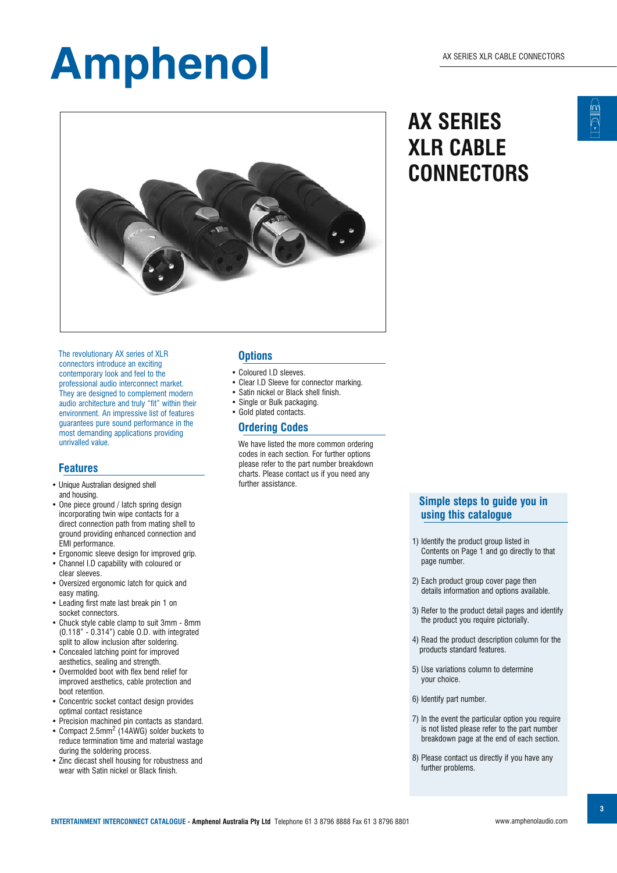

 The revolutionary AX series of XLR connectors introduce an exciting contemporary look and feel to the professional audio interconnect market. They are designed to complement modern audio architecture and truly "fit" within their environment. An impressive list of features guarantees pure sound performance in the most demanding applications providing unrivalled value.

#### **Features**

- Unique Australian designed shell and housing.
- One piece ground / latch spring design incorporating twin wipe contacts for a direct connection path from mating shell to ground providing enhanced connection and EMI performance.
- Ergonomic sleeve design for improved grip. • Channel I.D capability with coloured or
- clear sleeves. • Oversized ergonomic latch for quick and easy mating.
- Leading first mate last break pin 1 on socket connectors.
- Chuck style cable clamp to suit 3mm 8mm (0.118" - 0.314") cable O.D. with integrated split to allow inclusion after soldering.
- Concealed latching point for improved aesthetics, sealing and strength.
- Overmolded boot with flex bend relief for improved aesthetics, cable protection and boot retention.
- Concentric socket contact design provides optimal contact resistance
- Precision machined pin contacts as standard.
- Compact 2.5mm<sup>2</sup> (14AWG) solder buckets to reduce termination time and material wastage during the soldering process.
- Zinc diecast shell housing for robustness and wear with Satin nickel or Black finish.

#### **Options**

- Coloured I.D sleeves.
- Clear I.D Sleeve for connector marking.
- Satin nickel or Black shell finish.
- Single or Bulk packaging.
- Gold plated contacts.

#### **Ordering Codes**

 We have listed the more common ordering codes in each section. For further options please refer to the part number breakdown charts. Please contact us if you need any further assistance.

### **AX SERIES XLR CABLE CONNECTORS**

#### **Simple steps to guide you in using this catalogue**

- 1) Identify the product group listed in Contents on Page 1 and go directly to that page number.
- 2) Each product group cover page then details information and options available.
- 3) Refer to the product detail pages and identify the product you require pictorially.
- 4) Read the product description column for the products standard features.
- 5) Use variations column to determine your choice.
- 6) Identify part number.
- 7) In the event the particular option you require is not listed please refer to the part number breakdown page at the end of each section.
- 8) Please contact us directly if you have any further problems.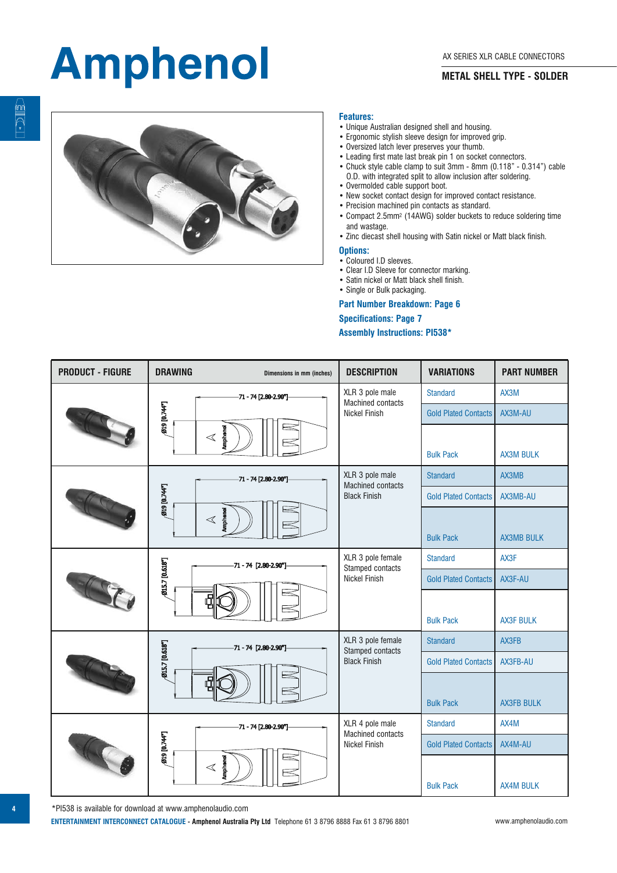#### **METAL SHELL TYPE - SOLDER**



#### **Features:**

- Unique Australian designed shell and housing.
- Ergonomic stylish sleeve design for improved grip.
- Oversized latch lever preserves your thumb.
- Leading first mate last break pin 1 on socket connectors.
- Chuck style cable clamp to suit 3mm 8mm (0.118" 0.314") cable O.D. with integrated split to allow inclusion after soldering.
- Overmolded cable support boot.
- New socket contact design for improved contact resistance.
- Precision machined pin contacts as standard.
- Compact 2.5mm2 (14AWG) solder buckets to reduce soldering time and wastage.
- Zinc diecast shell housing with Satin nickel or Matt black finish.

#### **Options:**

- Coloured I.D sleeves.
- Clear I.D Sleeve for connector marking.
- Satin nickel or Matt black shell finish.
- Single or Bulk packaging.

#### **Part Number Breakdown: Page 6**

#### **Specifications: Page 7**

#### **Assembly Instructions: PI538\***

| <b>PRODUCT - FIGURE</b> | <b>DRAWING</b><br>Dimensions in mm (inches)                           | <b>DESCRIPTION</b>                          | <b>VARIATIONS</b>           | <b>PART NUMBER</b> |  |
|-------------------------|-----------------------------------------------------------------------|---------------------------------------------|-----------------------------|--------------------|--|
|                         | $-71 - 74$ [2.80-2.90"]                                               | XLR 3 pole male<br><b>Machined contacts</b> | <b>Standard</b>             | AX3M               |  |
|                         | 019 [0.744"]                                                          | <b>Nickel Finish</b>                        | <b>Gold Plated Contacts</b> | AX3M-AU            |  |
|                         | <b>Amphano</b><br>$\triangleleft$                                     |                                             |                             |                    |  |
|                         |                                                                       |                                             | <b>Bulk Pack</b>            | <b>AX3M BULK</b>   |  |
|                         | $-71 - 74$ [2.80-2.90"]                                               | XLR 3 pole male<br><b>Machined contacts</b> | <b>Standard</b>             | AX3MB              |  |
|                         | <b>MAT01610</b>                                                       | <b>Black Finish</b>                         | <b>Gold Plated Contacts</b> | AX3MB-AU           |  |
|                         | orental<br>$\triangleleft$                                            |                                             |                             |                    |  |
|                         |                                                                       |                                             | <b>Bulk Pack</b>            | <b>AX3MB BULK</b>  |  |
|                         | Ø15.7 [0.618"]<br>-71 - 74 [2.80-2.90"]<br>6                          | XLR 3 pole female<br>Stamped contacts       | <b>Standard</b>             | AX3F               |  |
|                         |                                                                       | <b>Nickel Finish</b>                        | <b>Gold Plated Contacts</b> | AX3F-AU            |  |
|                         |                                                                       |                                             |                             |                    |  |
|                         |                                                                       |                                             | <b>Bulk Pack</b>            | <b>AX3F BULK</b>   |  |
|                         | <b>015.7</b> [0.618"]<br>$-71 - 74$ [2.80-2.90"]<br>ę                 | XLR 3 pole female<br>Stamped contacts       | <b>Standard</b>             | AX3FB              |  |
|                         |                                                                       | <b>Black Finish</b>                         | <b>Gold Plated Contacts</b> | AX3FB-AU           |  |
|                         |                                                                       |                                             |                             |                    |  |
|                         |                                                                       |                                             | <b>Bulk Pack</b>            | <b>AX3FB BULK</b>  |  |
|                         | $-71 - 74$ [2.80-2.90"]<br>019 [0.744"]<br><b>Amphanol</b><br>$\,<\,$ | XLR 4 pole male<br><b>Machined contacts</b> | <b>Standard</b>             | AX4M               |  |
|                         |                                                                       | <b>Nickel Finish</b>                        | <b>Gold Plated Contacts</b> | AX4M-AU            |  |
|                         |                                                                       |                                             |                             |                    |  |
|                         |                                                                       |                                             | <b>Bulk Pack</b>            | <b>AX4M BULK</b>   |  |

**E** 

\*PI538 is available for download at www.amphenolaudio.com

**ENTERTAINMENT INTERCONNECT CATALOGUE - Amphenol Australia Pty Ltd** Telephone 61 3 8796 8888 Fax 61 3 8796 8801 www.amphenolaudio.com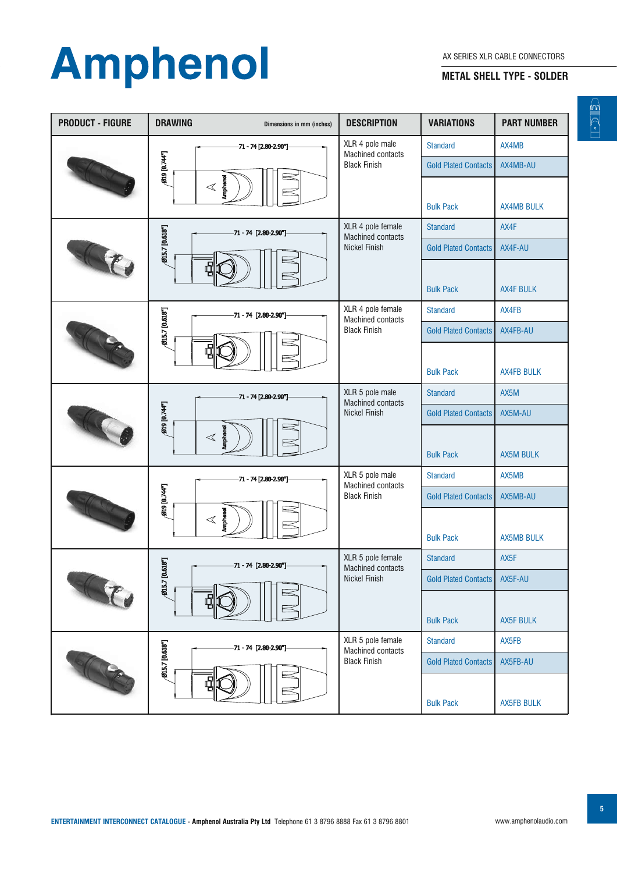#### **METAL SHELL TYPE - SOLDER**

| <b>PRODUCT - FIGURE</b> | <b>DRAWING</b>                                               | Dimensions in mm (inches)                     | <b>DESCRIPTION</b>                            | <b>VARIATIONS</b>           | <b>PART NUMBER</b> |  |
|-------------------------|--------------------------------------------------------------|-----------------------------------------------|-----------------------------------------------|-----------------------------|--------------------|--|
|                         |                                                              | -71 - 74 [2.80-2.90"]                         | XLR 4 pole male<br><b>Machined contacts</b>   | <b>Standard</b>             | AX4MB              |  |
|                         | 019 [0.744"]                                                 |                                               | <b>Black Finish</b>                           | <b>Gold Plated Contacts</b> | AX4MB-AU           |  |
|                         | <b>Amphanol</b><br>$\,<$                                     |                                               |                                               |                             |                    |  |
|                         |                                                              |                                               |                                               | <b>Bulk Pack</b>            | <b>AX4MB BULK</b>  |  |
|                         | Ø15.7 [0.618"]<br>-71 - 74 [2.80-2.90"]                      | XLR 4 pole female<br><b>Machined contacts</b> | <b>Standard</b>                               | AX4F                        |                    |  |
|                         |                                                              |                                               | <b>Nickel Finish</b>                          | <b>Gold Plated Contacts</b> | AX4F-AU            |  |
|                         |                                                              |                                               |                                               |                             |                    |  |
|                         |                                                              |                                               |                                               | <b>Bulk Pack</b>            | <b>AX4F BULK</b>   |  |
|                         | Ø15.7 [0.618"]<br>71 - 74 [2.80-2.90"]<br>6                  |                                               | XLR 4 pole female<br>Machined contacts        | <b>Standard</b>             | AX4FB              |  |
|                         |                                                              |                                               | <b>Black Finish</b>                           | <b>Gold Plated Contacts</b> | AX4FB-AU           |  |
|                         |                                                              |                                               |                                               |                             |                    |  |
|                         |                                                              |                                               |                                               | <b>Bulk Pack</b>            | <b>AX4FB BULK</b>  |  |
|                         | -71 - 74 [2.80-2.90"]<br>019 [0.744"]<br>onedgina<br>$\,<\,$ | XLR 5 pole male<br><b>Machined contacts</b>   | <b>Standard</b>                               | AX5M                        |                    |  |
|                         |                                                              |                                               | Nickel Finish                                 | <b>Gold Plated Contacts</b> | AX5M-AU            |  |
|                         |                                                              |                                               |                                               |                             |                    |  |
|                         |                                                              |                                               | <b>Bulk Pack</b>                              | <b>AX5M BULK</b>            |                    |  |
|                         | -71 - 74 [2.80-2.90"]<br>019 [0.74F]                         | XLR 5 pole male<br><b>Machined contacts</b>   | <b>Standard</b>                               | AX5MB                       |                    |  |
|                         |                                                              |                                               | <b>Black Finish</b>                           | <b>Gold Plated Contacts</b> | AX5MB-AU           |  |
|                         | <b>busuldur</b><br>$\,<\,$                                   |                                               |                                               |                             |                    |  |
|                         |                                                              |                                               |                                               | <b>Bulk Pack</b>            | <b>AX5MB BULK</b>  |  |
|                         | -71 - 74 [2.80-2.90"]                                        |                                               | XLR 5 pole female<br><b>Machined contacts</b> | <b>Standard</b>             | AX5F               |  |
|                         | Ø15.7 [0.618"]<br>Ę                                          | Nickel Finish                                 | <b>Gold Plated Contacts</b>                   | AX5F-AU                     |                    |  |
|                         |                                                              |                                               |                                               |                             |                    |  |
|                         |                                                              |                                               |                                               | <b>Bulk Pack</b>            | <b>AX5F BULK</b>   |  |
|                         | Ø15.7 [0.618"]<br>71 - 74 [2.80-2.90"]                       | XLR 5 pole female<br><b>Machined contacts</b> | <b>Standard</b>                               | AX5FB                       |                    |  |
|                         |                                                              | <b>Black Finish</b>                           | <b>Gold Plated Contacts</b>                   | AX5FB-AU                    |                    |  |
|                         |                                                              |                                               | <b>Bulk Pack</b>                              | <b>AX5FB BULK</b>           |                    |  |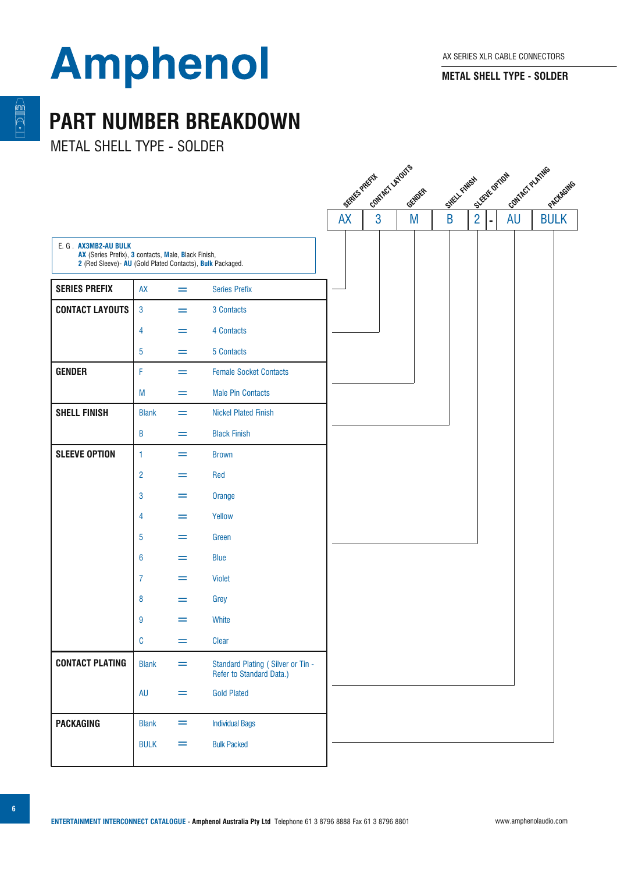**METAL SHELL TYPE - SOLDER**

### **PART NUMBER BREAKDOWN**

METAL SHELL TYPE - SOLDER

|                                                                                                                                          |                |     |                                                               | SERIES PRETI- IDITIES LATOUS |        | SHELL FAMESH COTION | 11 Contact Puedia |  |
|------------------------------------------------------------------------------------------------------------------------------------------|----------------|-----|---------------------------------------------------------------|------------------------------|--------|---------------------|-------------------|--|
|                                                                                                                                          |                |     |                                                               |                              | GENDER |                     |                   |  |
|                                                                                                                                          |                |     |                                                               |                              |        |                     | AU                |  |
| E. G. AX3MB2-AU BULK<br>AX (Series Prefix), 3 contacts, Male, Black Finish,<br>2 (Red Sleeve)- AU (Gold Plated Contacts), Bulk Packaged. |                |     |                                                               |                              |        |                     |                   |  |
| <b>SERIES PREFIX</b>                                                                                                                     | <b>AX</b>      | =   | <b>Series Prefix</b>                                          |                              |        |                     |                   |  |
| <b>CONTACT LAYOUTS</b>                                                                                                                   | $\overline{3}$ | $=$ | 3 Contacts                                                    |                              |        |                     |                   |  |
|                                                                                                                                          | $\overline{4}$ | =   | 4 Contacts                                                    |                              |        |                     |                   |  |
|                                                                                                                                          | $\overline{5}$ | =   | 5 Contacts                                                    |                              |        |                     |                   |  |
| <b>GENDER</b>                                                                                                                            | F              | $=$ | <b>Female Socket Contacts</b>                                 |                              |        |                     |                   |  |
|                                                                                                                                          | M              | =   | <b>Male Pin Contacts</b>                                      |                              |        |                     |                   |  |
| <b>SHELL FINISH</b>                                                                                                                      | <b>Blank</b>   | $=$ | <b>Nickel Plated Finish</b>                                   |                              |        |                     |                   |  |
|                                                                                                                                          | B              | =   | <b>Black Finish</b>                                           |                              |        |                     |                   |  |
| <b>SLEEVE OPTION</b>                                                                                                                     | $\mathbf{1}$   | =   | <b>Brown</b>                                                  |                              |        |                     |                   |  |
|                                                                                                                                          | $\overline{2}$ | =   | Red                                                           |                              |        |                     |                   |  |
|                                                                                                                                          | $\mathbf{3}$   | =   | Orange                                                        |                              |        |                     |                   |  |
|                                                                                                                                          | 4              | =   | Yellow                                                        |                              |        |                     |                   |  |
|                                                                                                                                          | 5              | =   | Green                                                         |                              |        |                     |                   |  |
|                                                                                                                                          | 6              | =   | <b>Blue</b>                                                   |                              |        |                     |                   |  |
|                                                                                                                                          | $\overline{7}$ | =   | <b>Violet</b>                                                 |                              |        |                     |                   |  |
|                                                                                                                                          | 8              | =   | Grey                                                          |                              |        |                     |                   |  |
|                                                                                                                                          | 9              | $=$ | White                                                         |                              |        |                     |                   |  |
|                                                                                                                                          | $\mathbb C$    | =   | Clear                                                         |                              |        |                     |                   |  |
| <b>CONTACT PLATING</b>                                                                                                                   | <b>Blank</b>   | =   | Standard Plating (Silver or Tin -<br>Refer to Standard Data.) |                              |        |                     |                   |  |
|                                                                                                                                          | <b>AU</b>      | =   | <b>Gold Plated</b>                                            |                              |        |                     |                   |  |
| <b>PACKAGING</b>                                                                                                                         | <b>Blank</b>   | =   | <b>Individual Bags</b>                                        |                              |        |                     |                   |  |
|                                                                                                                                          | <b>BULK</b>    | =   | <b>Bulk Packed</b>                                            |                              |        |                     |                   |  |
|                                                                                                                                          |                |     |                                                               |                              |        |                     |                   |  |